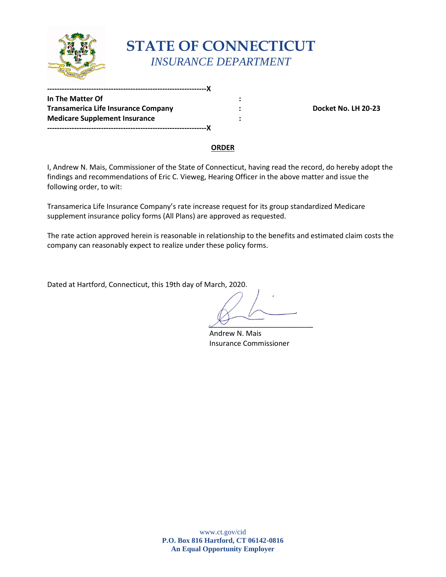

# **STATE OF CONNECTICUT**  *INSURANCE DEPARTMENT*

**In The Matter Of In The Matter Of** Transamerica Life Insurance Company **1998 1998 1998 1998 1998 1998 1999 1999 1999 1999 1999 1999 1999 1999 1999 1999 1999 1999 1999 1999 1999 1999 1999 1999 1999 1999 199 Medicare Supplement Insurance : -----------------------------------------------------------------X** 

**-----------------------------------------------------------------X** 

#### **ORDER**

I, Andrew N. Mais, Commissioner of the State of Connecticut, having read the record, do hereby adopt the findings and recommendations of Eric C. Vieweg, Hearing Officer in the above matter and issue the following order, to wit:

Transamerica Life Insurance Company's rate increase request for its group standardized Medicare supplement insurance policy forms (All Plans) are approved as requested.

The rate action approved herein is reasonable in relationship to the benefits and estimated claim costs the company can reasonably expect to realize under these policy forms.

Dated at Hartford, Connecticut, this 19th day of March, 2020.

 $\sqrt{2}$ 

Andrew N. Mais Insurance Commissioner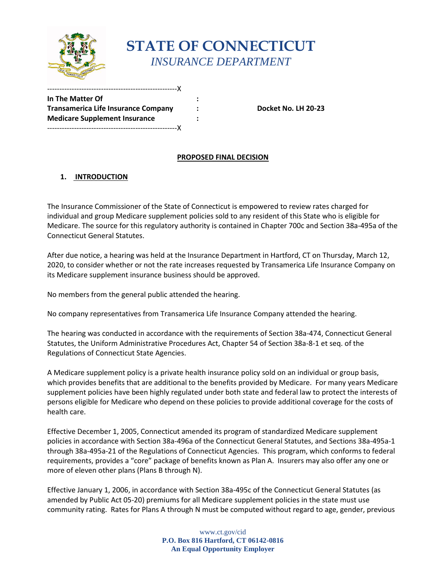

## **STATE OF CONNECTICUT** *INSURANCE DEPARTMENT*

**In The Matter Of : Transamerica Life Insurance Company : Docket No. LH 20-23 Medicare Supplement Insurance :**  -----------------------------------------------------X

-----------------------------------------------------X

### **PROPOSED FINAL DECISION**

### **1. INTRODUCTION**

The Insurance Commissioner of the State of Connecticut is empowered to review rates charged for individual and group Medicare supplement policies sold to any resident of this State who is eligible for Medicare. The source for this regulatory authority is contained in Chapter 700c and Section 38a-495a of the Connecticut General Statutes.

After due notice, a hearing was held at the Insurance Department in Hartford, CT on Thursday, March 12, 2020, to consider whether or not the rate increases requested by Transamerica Life Insurance Company on its Medicare supplement insurance business should be approved.

No members from the general public attended the hearing.

No company representatives from Transamerica Life Insurance Company attended the hearing.

The hearing was conducted in accordance with the requirements of Section 38a-474, Connecticut General Statutes, the Uniform Administrative Procedures Act, Chapter 54 of Section 38a-8-1 et seq. of the Regulations of Connecticut State Agencies.

A Medicare supplement policy is a private health insurance policy sold on an individual or group basis, which provides benefits that are additional to the benefits provided by Medicare. For many years Medicare supplement policies have been highly regulated under both state and federal law to protect the interests of persons eligible for Medicare who depend on these policies to provide additional coverage for the costs of health care.

Effective December 1, 2005, Connecticut amended its program of standardized Medicare supplement policies in accordance with Section 38a-496a of the Connecticut General Statutes, and Sections 38a-495a-1 through 38a-495a-21 of the Regulations of Connecticut Agencies. This program, which conforms to federal requirements, provides a "core" package of benefits known as Plan A. Insurers may also offer any one or more of eleven other plans (Plans B through N).

Effective January 1, 2006, in accordance with Section 38a-495c of the Connecticut General Statutes (as amended by Public Act 05-20) premiums for all Medicare supplement policies in the state must use community rating. Rates for Plans A through N must be computed without regard to age, gender, previous

> www.ct.gov/cid **P.O. Box 816 Hartford, CT 06142-0816 An Equal Opportunity Employer**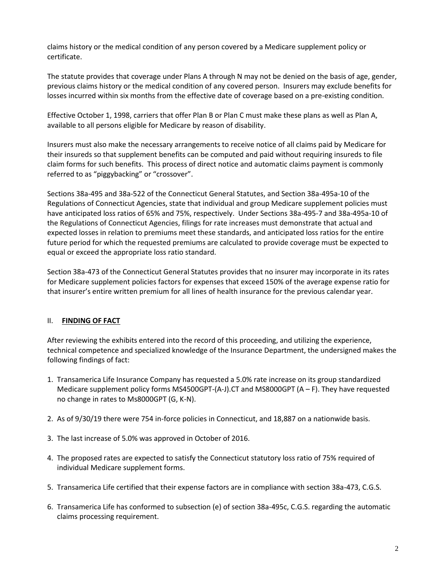claims history or the medical condition of any person covered by a Medicare supplement policy or certificate.

The statute provides that coverage under Plans A through N may not be denied on the basis of age, gender, previous claims history or the medical condition of any covered person. Insurers may exclude benefits for losses incurred within six months from the effective date of coverage based on a pre-existing condition.

Effective October 1, 1998, carriers that offer Plan B or Plan C must make these plans as well as Plan A, available to all persons eligible for Medicare by reason of disability.

Insurers must also make the necessary arrangements to receive notice of all claims paid by Medicare for their insureds so that supplement benefits can be computed and paid without requiring insureds to file claim forms for such benefits. This process of direct notice and automatic claims payment is commonly referred to as "piggybacking" or "crossover".

Sections 38a-495 and 38a-522 of the Connecticut General Statutes, and Section 38a-495a-10 of the Regulations of Connecticut Agencies, state that individual and group Medicare supplement policies must have anticipated loss ratios of 65% and 75%, respectively. Under Sections 38a-495-7 and 38a-495a-10 of the Regulations of Connecticut Agencies, filings for rate increases must demonstrate that actual and expected losses in relation to premiums meet these standards, and anticipated loss ratios for the entire future period for which the requested premiums are calculated to provide coverage must be expected to equal or exceed the appropriate loss ratio standard.

Section 38a-473 of the Connecticut General Statutes provides that no insurer may incorporate in its rates for Medicare supplement policies factors for expenses that exceed 150% of the average expense ratio for that insurer's entire written premium for all lines of health insurance for the previous calendar year.

#### II. **FINDING OF FACT**

After reviewing the exhibits entered into the record of this proceeding, and utilizing the experience, technical competence and specialized knowledge of the Insurance Department, the undersigned makes the following findings of fact:

- 1. Transamerica Life Insurance Company has requested a 5.0% rate increase on its group standardized Medicare supplement policy forms MS4500GPT-(A-J).CT and MS8000GPT (A – F). They have requested no change in rates to Ms8000GPT (G, K-N).
- 2. As of 9/30/19 there were 754 in-force policies in Connecticut, and 18,887 on a nationwide basis.
- 3. The last increase of 5.0% was approved in October of 2016.
- 4. The proposed rates are expected to satisfy the Connecticut statutory loss ratio of 75% required of individual Medicare supplement forms.
- 5. Transamerica Life certified that their expense factors are in compliance with section 38a-473, C.G.S.
- 6. Transamerica Life has conformed to subsection (e) of section 38a-495c, C.G.S. regarding the automatic claims processing requirement.